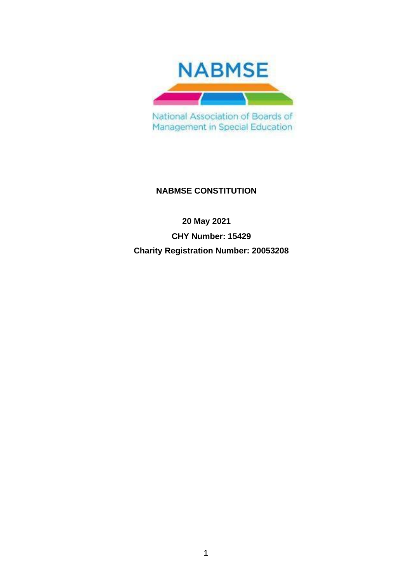

Management in Special Education

# **NABMSE CONSTITUTION**

**20 May 2021 CHY Number: 15429 Charity Registration Number: 20053208**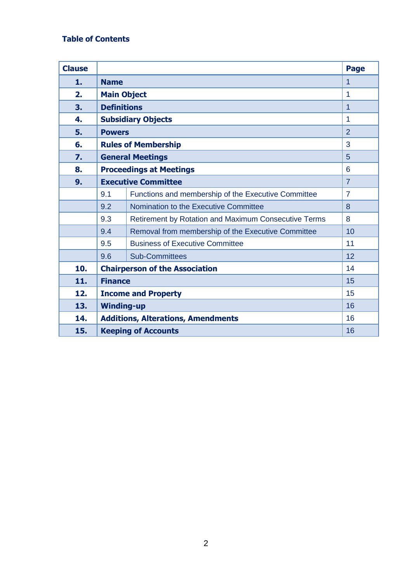# **Table of Contents**

| <b>Clause</b> |                                                 |                                                      | <b>Page</b>    |  |  |
|---------------|-------------------------------------------------|------------------------------------------------------|----------------|--|--|
| 1.            | <b>Name</b>                                     |                                                      |                |  |  |
| 2.            | <b>Main Object</b>                              |                                                      |                |  |  |
| 3.            | <b>Definitions</b><br>1                         |                                                      |                |  |  |
| 4.            | <b>Subsidiary Objects</b><br>1                  |                                                      |                |  |  |
| 5.            | $\overline{2}$<br><b>Powers</b>                 |                                                      |                |  |  |
| 6.            | 3<br><b>Rules of Membership</b>                 |                                                      |                |  |  |
| 7.            | 5<br><b>General Meetings</b>                    |                                                      |                |  |  |
| 8.            | <b>Proceedings at Meetings</b><br>6             |                                                      |                |  |  |
| 9.            | <b>Executive Committee</b><br>$\overline{7}$    |                                                      |                |  |  |
|               | 9.1                                             | Functions and membership of the Executive Committee  | $\overline{7}$ |  |  |
|               | 9.2                                             | Nomination to the Executive Committee                | 8              |  |  |
|               | 9.3                                             | Retirement by Rotation and Maximum Consecutive Terms | 8              |  |  |
|               | 9.4                                             | Removal from membership of the Executive Committee   | 10             |  |  |
|               | 9.5                                             | <b>Business of Executive Committee</b>               | 11             |  |  |
|               | 9.6                                             | <b>Sub-Committees</b>                                | 12             |  |  |
| 10.           | <b>Chairperson of the Association</b>           |                                                      |                |  |  |
| 11.           | <b>Finance</b>                                  |                                                      |                |  |  |
| 12.           | <b>Income and Property</b>                      |                                                      |                |  |  |
| 13.           | 16<br><b>Winding-up</b>                         |                                                      |                |  |  |
| 14.           | 16<br><b>Additions, Alterations, Amendments</b> |                                                      |                |  |  |
| 15.           | 16<br><b>Keeping of Accounts</b>                |                                                      |                |  |  |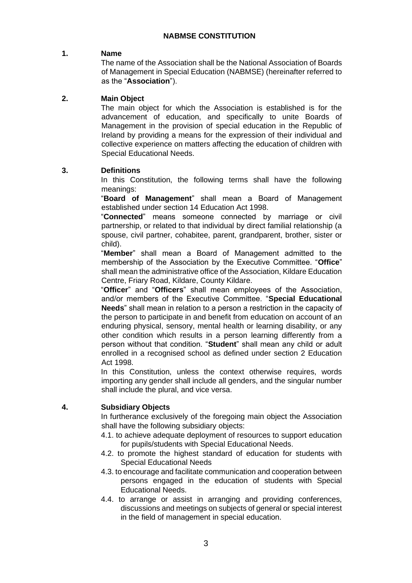# **NABMSE CONSTITUTION**

#### **1. Name**

The name of the Association shall be the National Association of Boards of Management in Special Education (NABMSE) (hereinafter referred to as the "**Association**").

#### **2. Main Object**

The main object for which the Association is established is for the advancement of education, and specifically to unite Boards of Management in the provision of special education in the Republic of Ireland by providing a means for the expression of their individual and collective experience on matters affecting the education of children with Special Educational Needs.

# **3. Definitions**

In this Constitution, the following terms shall have the following meanings:

"**Board of Management**" shall mean a Board of Management established under section 14 Education Act 1998.

"**Connected**" means someone connected by marriage or civil partnership, or related to that individual by direct familial relationship (a spouse, civil partner, cohabitee, parent, grandparent, brother, sister or child).

"**Member**" shall mean a Board of Management admitted to the membership of the Association by the Executive Committee. "**Office**" shall mean the administrative office of the Association, Kildare Education Centre, Friary Road, Kildare, County Kildare.

"**Officer**" and "**Officers**" shall mean employees of the Association, and/or members of the Executive Committee. "**Special Educational Needs**" shall mean in relation to a person a restriction in the capacity of the person to participate in and benefit from education on account of an enduring physical, sensory, mental health or learning disability, or any other condition which results in a person learning differently from a person without that condition. "**Student**" shall mean any child or adult enrolled in a recognised school as defined under section 2 Education Act 1998.

In this Constitution, unless the context otherwise requires, words importing any gender shall include all genders, and the singular number shall include the plural, and vice versa.

# **4. Subsidiary Objects**

In furtherance exclusively of the foregoing main object the Association shall have the following subsidiary objects:

- 4.1. to achieve adequate deployment of resources to support education for pupils/students with Special Educational Needs.
- 4.2. to promote the highest standard of education for students with Special Educational Needs
- 4.3. to encourage and facilitate communication and cooperation between persons engaged in the education of students with Special Educational Needs.
- 4.4. to arrange or assist in arranging and providing conferences, discussions and meetings on subjects of general or special interest in the field of management in special education.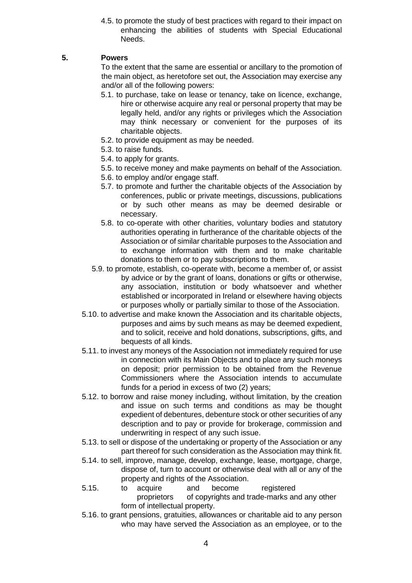4.5. to promote the study of best practices with regard to their impact on enhancing the abilities of students with Special Educational Needs.

# **5. Powers**

To the extent that the same are essential or ancillary to the promotion of the main object, as heretofore set out, the Association may exercise any and/or all of the following powers:

- 5.1. to purchase, take on lease or tenancy, take on licence, exchange, hire or otherwise acquire any real or personal property that may be legally held, and/or any rights or privileges which the Association may think necessary or convenient for the purposes of its charitable objects.
- 5.2. to provide equipment as may be needed.
- 5.3. to raise funds.
- 5.4. to apply for grants.
- 5.5. to receive money and make payments on behalf of the Association.
- 5.6. to employ and/or engage staff.
- 5.7. to promote and further the charitable objects of the Association by conferences, public or private meetings, discussions, publications or by such other means as may be deemed desirable or necessary.
- 5.8. to co-operate with other charities, voluntary bodies and statutory authorities operating in furtherance of the charitable objects of the Association or of similar charitable purposes to the Association and to exchange information with them and to make charitable donations to them or to pay subscriptions to them.
- 5.9. to promote, establish, co-operate with, become a member of, or assist by advice or by the grant of loans, donations or gifts or otherwise, any association, institution or body whatsoever and whether established or incorporated in Ireland or elsewhere having objects or purposes wholly or partially similar to those of the Association.
- 5.10. to advertise and make known the Association and its charitable objects, purposes and aims by such means as may be deemed expedient, and to solicit, receive and hold donations, subscriptions, gifts, and bequests of all kinds.
- 5.11. to invest any moneys of the Association not immediately required for use in connection with its Main Objects and to place any such moneys on deposit; prior permission to be obtained from the Revenue Commissioners where the Association intends to accumulate funds for a period in excess of two (2) years;
- 5.12. to borrow and raise money including, without limitation, by the creation and issue on such terms and conditions as may be thought expedient of debentures, debenture stock or other securities of any description and to pay or provide for brokerage, commission and underwriting in respect of any such issue.
- 5.13. to sell or dispose of the undertaking or property of the Association or any part thereof for such consideration as the Association may think fit.
- 5.14. to sell, improve, manage, develop, exchange, lease, mortgage, charge, dispose of, turn to account or otherwise deal with all or any of the property and rights of the Association.
- 5.15. to acquire and become registered proprietors of copyrights and trade-marks and any other form of intellectual property.
- 5.16. to grant pensions, gratuities, allowances or charitable aid to any person who may have served the Association as an employee, or to the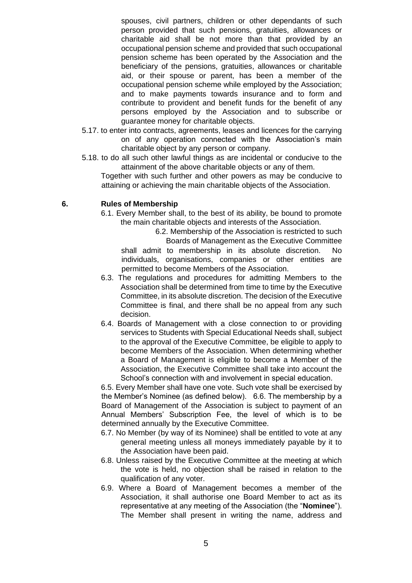spouses, civil partners, children or other dependants of such person provided that such pensions, gratuities, allowances or charitable aid shall be not more than that provided by an occupational pension scheme and provided that such occupational pension scheme has been operated by the Association and the beneficiary of the pensions, gratuities, allowances or charitable aid, or their spouse or parent, has been a member of the occupational pension scheme while employed by the Association; and to make payments towards insurance and to form and contribute to provident and benefit funds for the benefit of any persons employed by the Association and to subscribe or guarantee money for charitable objects.

- 5.17. to enter into contracts, agreements, leases and licences for the carrying on of any operation connected with the Association's main charitable object by any person or company.
- 5.18. to do all such other lawful things as are incidental or conducive to the attainment of the above charitable objects or any of them.

Together with such further and other powers as may be conducive to attaining or achieving the main charitable objects of the Association.

# **6. Rules of Membership**

6.1. Every Member shall, to the best of its ability, be bound to promote the main charitable objects and interests of the Association.

6.2. Membership of the Association is restricted to such Boards of Management as the Executive Committee shall admit to membership in its absolute discretion. No

individuals, organisations, companies or other entities are permitted to become Members of the Association.

- 6.3. The regulations and procedures for admitting Members to the Association shall be determined from time to time by the Executive Committee, in its absolute discretion. The decision of the Executive Committee is final, and there shall be no appeal from any such decision.
- 6.4. Boards of Management with a close connection to or providing services to Students with Special Educational Needs shall, subject to the approval of the Executive Committee, be eligible to apply to become Members of the Association. When determining whether a Board of Management is eligible to become a Member of the Association, the Executive Committee shall take into account the School's connection with and involvement in special education.

6.5. Every Member shall have one vote. Such vote shall be exercised by the Member's Nominee (as defined below). 6.6. The membership by a Board of Management of the Association is subject to payment of an Annual Members' Subscription Fee, the level of which is to be determined annually by the Executive Committee.

- 6.7. No Member (by way of its Nominee) shall be entitled to vote at any general meeting unless all moneys immediately payable by it to the Association have been paid.
- 6.8. Unless raised by the Executive Committee at the meeting at which the vote is held, no objection shall be raised in relation to the qualification of any voter.
- 6.9. Where a Board of Management becomes a member of the Association, it shall authorise one Board Member to act as its representative at any meeting of the Association (the "**Nominee**"). The Member shall present in writing the name, address and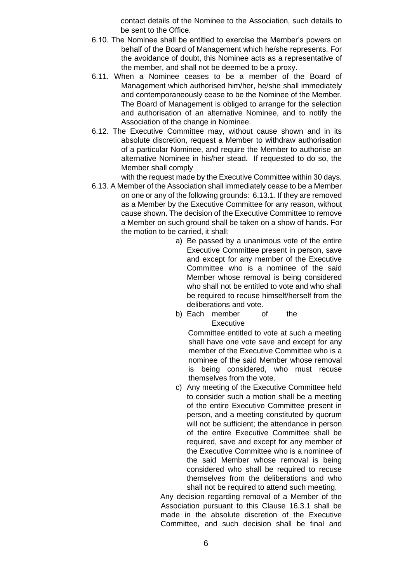contact details of the Nominee to the Association, such details to be sent to the Office.

- 6.10. The Nominee shall be entitled to exercise the Member's powers on behalf of the Board of Management which he/she represents. For the avoidance of doubt, this Nominee acts as a representative of the member, and shall not be deemed to be a proxy.
- 6.11. When a Nominee ceases to be a member of the Board of Management which authorised him/her, he/she shall immediately and contemporaneously cease to be the Nominee of the Member. The Board of Management is obliged to arrange for the selection and authorisation of an alternative Nominee, and to notify the Association of the change in Nominee.
- 6.12. The Executive Committee may, without cause shown and in its absolute discretion, request a Member to withdraw authorisation of a particular Nominee, and require the Member to authorise an alternative Nominee in his/her stead. If requested to do so, the Member shall comply

with the request made by the Executive Committee within 30 days.

- 6.13. A Member of the Association shall immediately cease to be a Member on one or any of the following grounds: 6.13.1. If they are removed as a Member by the Executive Committee for any reason, without cause shown. The decision of the Executive Committee to remove a Member on such ground shall be taken on a show of hands. For the motion to be carried, it shall:
	- a) Be passed by a unanimous vote of the entire Executive Committee present in person, save and except for any member of the Executive Committee who is a nominee of the said Member whose removal is being considered who shall not be entitled to vote and who shall be required to recuse himself/herself from the deliberations and vote.
	- b) Each member of the Executive

Committee entitled to vote at such a meeting shall have one vote save and except for any member of the Executive Committee who is a nominee of the said Member whose removal is being considered, who must recuse themselves from the vote.

c) Any meeting of the Executive Committee held to consider such a motion shall be a meeting of the entire Executive Committee present in person, and a meeting constituted by quorum will not be sufficient; the attendance in person of the entire Executive Committee shall be required, save and except for any member of the Executive Committee who is a nominee of the said Member whose removal is being considered who shall be required to recuse themselves from the deliberations and who shall not be required to attend such meeting.

Any decision regarding removal of a Member of the Association pursuant to this Clause 16.3.1 shall be made in the absolute discretion of the Executive Committee, and such decision shall be final and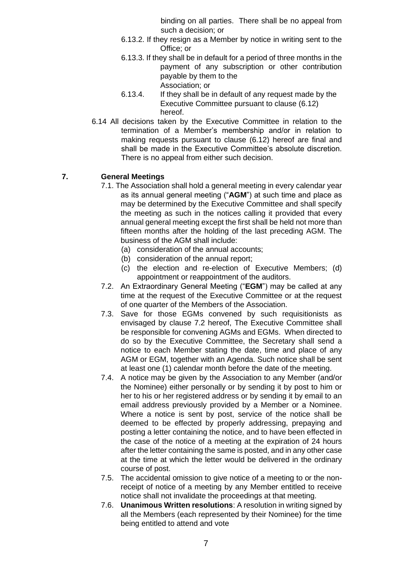binding on all parties. There shall be no appeal from such a decision; or

- 6.13.2. If they resign as a Member by notice in writing sent to the Office; or
- 6.13.3. If they shall be in default for a period of three months in the payment of any subscription or other contribution payable by them to the Association; or
- 6.13.4. If they shall be in default of any request made by the Executive Committee pursuant to clause (6.12) hereof.
- 6.14 All decisions taken by the Executive Committee in relation to the termination of a Member's membership and/or in relation to making requests pursuant to clause (6.12) hereof are final and shall be made in the Executive Committee's absolute discretion. There is no appeal from either such decision.

# **7. General Meetings**

- 7.1. The Association shall hold a general meeting in every calendar year as its annual general meeting ("**AGM**") at such time and place as may be determined by the Executive Committee and shall specify the meeting as such in the notices calling it provided that every annual general meeting except the first shall be held not more than fifteen months after the holding of the last preceding AGM. The business of the AGM shall include:
	- (a) consideration of the annual accounts;
	- (b) consideration of the annual report;
	- (c) the election and re-election of Executive Members; (d) appointment or reappointment of the auditors.
- 7.2. An Extraordinary General Meeting ("**EGM**") may be called at any time at the request of the Executive Committee or at the request of one quarter of the Members of the Association.
- 7.3. Save for those EGMs convened by such requisitionists as envisaged by clause 7.2 hereof, The Executive Committee shall be responsible for convening AGMs and EGMs. When directed to do so by the Executive Committee, the Secretary shall send a notice to each Member stating the date, time and place of any AGM or EGM, together with an Agenda. Such notice shall be sent at least one (1) calendar month before the date of the meeting.
- 7.4. A notice may be given by the Association to any Member (and/or the Nominee) either personally or by sending it by post to him or her to his or her registered address or by sending it by email to an email address previously provided by a Member or a Nominee. Where a notice is sent by post, service of the notice shall be deemed to be effected by properly addressing, prepaying and posting a letter containing the notice, and to have been effected in the case of the notice of a meeting at the expiration of 24 hours after the letter containing the same is posted, and in any other case at the time at which the letter would be delivered in the ordinary course of post.
- 7.5. The accidental omission to give notice of a meeting to or the nonreceipt of notice of a meeting by any Member entitled to receive notice shall not invalidate the proceedings at that meeting.
- 7.6. **Unanimous Written resolutions**: A resolution in writing signed by all the Members (each represented by their Nominee) for the time being entitled to attend and vote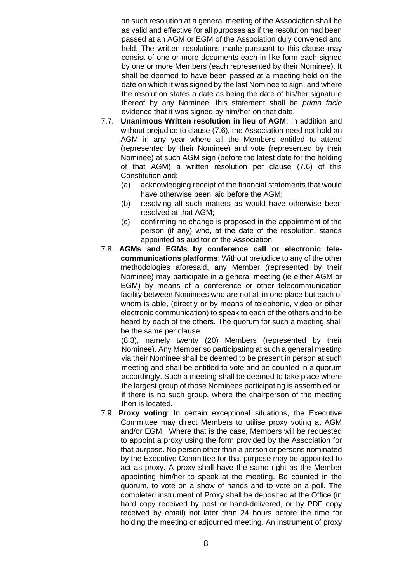on such resolution at a general meeting of the Association shall be as valid and effective for all purposes as if the resolution had been passed at an AGM or EGM of the Association duly convened and held. The written resolutions made pursuant to this clause may consist of one or more documents each in like form each signed by one or more Members (each represented by their Nominee). It shall be deemed to have been passed at a meeting held on the date on which it was signed by the last Nominee to sign, and where the resolution states a date as being the date of his/her signature thereof by any Nominee, this statement shall be *prima facie*  evidence that it was signed by him/her on that date.

- 7.7. **Unanimous Written resolution in lieu of AGM**: In addition and without prejudice to clause (7.6), the Association need not hold an AGM in any year where all the Members entitled to attend (represented by their Nominee) and vote (represented by their Nominee) at such AGM sign (before the latest date for the holding of that AGM) a written resolution per clause (7.6) of this Constitution and:
	- (a) acknowledging receipt of the financial statements that would have otherwise been laid before the AGM;
	- (b) resolving all such matters as would have otherwise been resolved at that AGM;
	- (c) confirming no change is proposed in the appointment of the person (if any) who, at the date of the resolution, stands appointed as auditor of the Association.
- 7.8. **AGMs and EGMs by conference call or electronic telecommunications platforms**: Without prejudice to any of the other methodologies aforesaid, any Member (represented by their Nominee) may participate in a general meeting (ie either AGM or EGM) by means of a conference or other telecommunication facility between Nominees who are not all in one place but each of whom is able, (directly or by means of telephonic, video or other electronic communication) to speak to each of the others and to be heard by each of the others. The quorum for such a meeting shall be the same per clause

(8.3), namely twenty (20) Members (represented by their Nominee). Any Member so participating at such a general meeting via their Nominee shall be deemed to be present in person at such meeting and shall be entitled to vote and be counted in a quorum accordingly. Such a meeting shall be deemed to take place where the largest group of those Nominees participating is assembled or, if there is no such group, where the chairperson of the meeting then is located.

7.9. **Proxy voting**: In certain exceptional situations, the Executive Committee may direct Members to utilise proxy voting at AGM and/or EGM. Where that is the case, Members will be requested to appoint a proxy using the form provided by the Association for that purpose. No person other than a person or persons nominated by the Executive Committee for that purpose may be appointed to act as proxy. A proxy shall have the same right as the Member appointing him/her to speak at the meeting. Be counted in the quorum, to vote on a show of hands and to vote on a poll. The completed instrument of Proxy shall be deposited at the Office (in hard copy received by post or hand-delivered, or by PDF copy received by email) not later than 24 hours before the time for holding the meeting or adjourned meeting. An instrument of proxy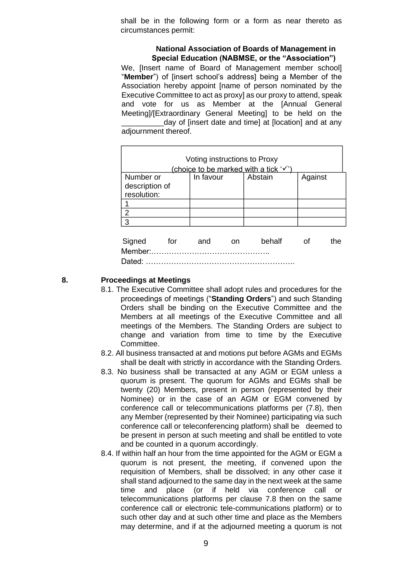shall be in the following form or a form as near thereto as circumstances permit:

#### **National Association of Boards of Management in Special Education (NABMSE, or the "Association")**

We. Ilnsert name of Board of Management member schooll "**Member**") of [insert school's address] being a Member of the Association hereby appoint [name of person nominated by the Executive Committee to act as proxy] as our proxy to attend, speak and vote for us as Member at the [Annual General Meeting]/[Extraordinary General Meeting] to be held on the day of [insert date and time] at [location] and at any adjournment thereof.

| Voting instructions to Proxy          |     |           |  |         |         |     |  |  |  |
|---------------------------------------|-----|-----------|--|---------|---------|-----|--|--|--|
| (choice to be marked with a tick '√') |     |           |  |         |         |     |  |  |  |
| Number or                             |     | In favour |  | Abstain | Against |     |  |  |  |
| description of                        |     |           |  |         |         |     |  |  |  |
| resolution:                           |     |           |  |         |         |     |  |  |  |
|                                       |     |           |  |         |         |     |  |  |  |
| $\overline{2}$                        |     |           |  |         |         |     |  |  |  |
| 3                                     |     |           |  |         |         |     |  |  |  |
|                                       |     |           |  |         |         |     |  |  |  |
| Signed                                | tor | and       |  | behalf  |         | the |  |  |  |

Member:……………………………………….. Dated: …………………………………………………..

#### **8. Proceedings at Meetings**

- 8.1. The Executive Committee shall adopt rules and procedures for the proceedings of meetings ("**Standing Orders**") and such Standing Orders shall be binding on the Executive Committee and the Members at all meetings of the Executive Committee and all meetings of the Members. The Standing Orders are subject to change and variation from time to time by the Executive Committee.
- 8.2. All business transacted at and motions put before AGMs and EGMs shall be dealt with strictly in accordance with the Standing Orders.
- 8.3. No business shall be transacted at any AGM or EGM unless a quorum is present. The quorum for AGMs and EGMs shall be twenty (20) Members, present in person (represented by their Nominee) or in the case of an AGM or EGM convened by conference call or telecommunications platforms per (7.8), then any Member (represented by their Nominee) participating via such conference call or teleconferencing platform) shall be deemed to be present in person at such meeting and shall be entitled to vote and be counted in a quorum accordingly.
- 8.4. If within half an hour from the time appointed for the AGM or EGM a quorum is not present, the meeting, if convened upon the requisition of Members, shall be dissolved; in any other case it shall stand adjourned to the same day in the next week at the same time and place (or if held via conference call or telecommunications platforms per clause 7.8 then on the same conference call or electronic tele-communications platform) or to such other day and at such other time and place as the Members may determine, and if at the adjourned meeting a quorum is not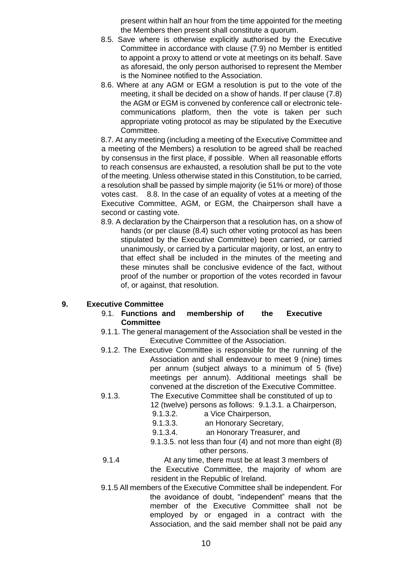present within half an hour from the time appointed for the meeting the Members then present shall constitute a quorum.

- 8.5. Save where is otherwise explicitly authorised by the Executive Committee in accordance with clause (7.9) no Member is entitled to appoint a proxy to attend or vote at meetings on its behalf. Save as aforesaid, the only person authorised to represent the Member is the Nominee notified to the Association.
- 8.6. Where at any AGM or EGM a resolution is put to the vote of the meeting, it shall be decided on a show of hands. If per clause (7.8) the AGM or EGM is convened by conference call or electronic telecommunications platform, then the vote is taken per such appropriate voting protocol as may be stipulated by the Executive Committee.

8.7. At any meeting (including a meeting of the Executive Committee and a meeting of the Members) a resolution to be agreed shall be reached by consensus in the first place, if possible. When all reasonable efforts to reach consensus are exhausted, a resolution shall be put to the vote of the meeting. Unless otherwise stated in this Constitution, to be carried, a resolution shall be passed by simple majority (ie 51% or more) of those votes cast. 8.8. In the case of an equality of votes at a meeting of the Executive Committee, AGM, or EGM, the Chairperson shall have a second or casting vote.

8.9. A declaration by the Chairperson that a resolution has, on a show of hands (or per clause (8.4) such other voting protocol as has been stipulated by the Executive Committee) been carried, or carried unanimously, or carried by a particular majority, or lost, an entry to that effect shall be included in the minutes of the meeting and these minutes shall be conclusive evidence of the fact, without proof of the number or proportion of the votes recorded in favour of, or against, that resolution.

# **9. Executive Committee**

- 9.1. **Functions and membership of the Executive Committee**
- 9.1.1. The general management of the Association shall be vested in the Executive Committee of the Association.
- 9.1.2. The Executive Committee is responsible for the running of the Association and shall endeavour to meet 9 (nine) times per annum (subject always to a minimum of 5 (five) meetings per annum). Additional meetings shall be convened at the discretion of the Executive Committee.
- 9.1.3. The Executive Committee shall be constituted of up to 12 (twelve) persons as follows: 9.1.3.1. a Chairperson,
	- 9.1.3.2. a Vice Chairperson,
	- 9.1.3.3. an Honorary Secretary,
	- 9.1.3.4. an Honorary Treasurer, and
	- 9.1.3.5. not less than four (4) and not more than eight (8) other persons.
- 9.1.4 At any time, there must be at least 3 members of
	- the Executive Committee, the majority of whom are resident in the Republic of Ireland.
- 9.1.5 All members of the Executive Committee shall be independent. For the avoidance of doubt, "independent" means that the member of the Executive Committee shall not be employed by or engaged in a contract with the Association, and the said member shall not be paid any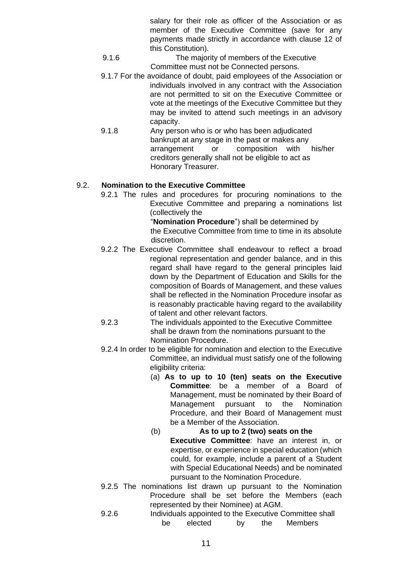salary for their role as officer of the Association or as member of the Executive Committee (save for any payments made strictly in accordance with clause 12 of this Constitution).

- 9.1.6 The majority of members of the Executive Committee must not be Connected persons.
- 9.1.7 For the avoidance of doubt, paid employees of the Association or individuals involved in any contract with the Association are not permitted to sit on the Executive Committee or vote at the meetings of the Executive Committee but they may be invited to attend such meetings in an advisory capacity.
- 9.1.8 Any person who is or who has been adjudicated bankrupt at any stage in the past or makes any arrangement or composition with his/her creditors generally shall not be eligible to act as Honorary Treasurer.

# 9.2. **Nomination to the Executive Committee**

9.2.1 The rules and procedures for procuring nominations to the Executive Committee and preparing a nominations list (collectively the

"**Nomination Procedure**") shall be determined by the Executive Committee from time to time in its absolute discretion.

- 9.2.2 The Executive Committee shall endeavour to reflect a broad regional representation and gender balance, and in this regard shall have regard to the general principles laid down by the Department of Education and Skills for the composition of Boards of Management, and these values shall be reflected in the Nomination Procedure insofar as is reasonably practicable having regard to the availability of talent and other relevant factors.
- 9.2.3 The individuals appointed to the Executive Committee shall be drawn from the nominations pursuant to the Nomination Procedure.
- 9.2.4 In order to be eligible for nomination and election to the Executive Committee, an individual must satisfy one of the following eligibility criteria:
	- (a) **As to up to 10 (ten) seats on the Executive Committee**: be a member of a Board of Management, must be nominated by their Board of Management pursuant to the Nomination Procedure, and their Board of Management must be a Member of the Association.

# (b) **As to up to 2 (two) seats on the Executive Committee**: have an interest in, or expertise, or experience in special education (which could, for example, include a parent of a Student with Special Educational Needs) and be nominated pursuant to the Nomination Procedure.

- 9.2.5 The nominations list drawn up pursuant to the Nomination Procedure shall be set before the Members (each represented by their Nominee) at AGM.
- 9.2.6 Individuals appointed to the Executive Committee shall be elected by the Members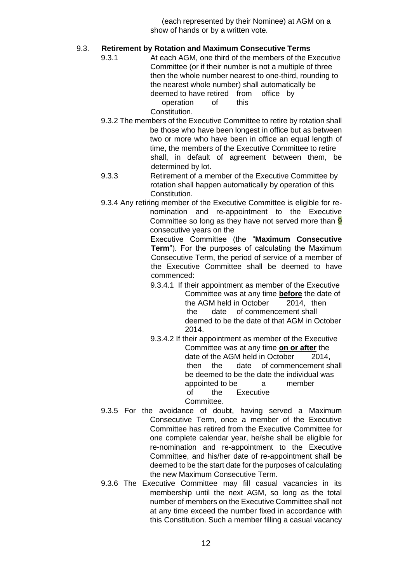(each represented by their Nominee) at AGM on a show of hands or by a written vote.

# 9.3. **Retirement by Rotation and Maximum Consecutive Terms**

9.3.1 At each AGM, one third of the members of the Executive Committee (or if their number is not a multiple of three then the whole number nearest to one-third, rounding to the nearest whole number) shall automatically be deemed to have retired from office by operation of this

Constitution.

- 9.3.2 The members of the Executive Committee to retire by rotation shall be those who have been longest in office but as between two or more who have been in office an equal length of time, the members of the Executive Committee to retire shall, in default of agreement between them, be determined by lot.
- 9.3.3 Retirement of a member of the Executive Committee by rotation shall happen automatically by operation of this Constitution.
- 9.3.4 Any retiring member of the Executive Committee is eligible for renomination and re-appointment to the Executive Committee so long as they have not served more than 9 consecutive years on the

Executive Committee (the "**Maximum Consecutive Term**"). For the purposes of calculating the Maximum Consecutive Term, the period of service of a member of the Executive Committee shall be deemed to have commenced:

- 9.3.4.1 If their appointment as member of the Executive Committee was at any time **before** the date of the AGM held in October 2014, then the date of commencement shall deemed to be the date of that AGM in October 2014.
- 9.3.4.2 If their appointment as member of the Executive Committee was at any time **on or after** the date of the AGM held in October 2014, then the date of commencement shall be deemed to be the date the individual was appointed to be a member of the Executive Committee.
- 9.3.5 For the avoidance of doubt, having served a Maximum Consecutive Term, once a member of the Executive Committee has retired from the Executive Committee for one complete calendar year, he/she shall be eligible for re-nomination and re-appointment to the Executive Committee, and his/her date of re-appointment shall be deemed to be the start date for the purposes of calculating the new Maximum Consecutive Term.
- 9.3.6 The Executive Committee may fill casual vacancies in its membership until the next AGM, so long as the total number of members on the Executive Committee shall not at any time exceed the number fixed in accordance with this Constitution. Such a member filling a casual vacancy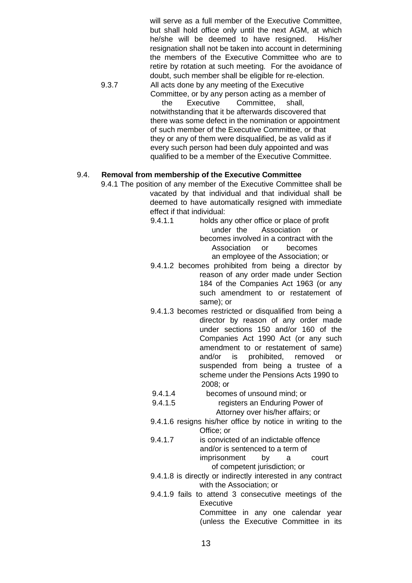will serve as a full member of the Executive Committee. but shall hold office only until the next AGM, at which he/she will be deemed to have resigned. His/her resignation shall not be taken into account in determining the members of the Executive Committee who are to retire by rotation at such meeting. For the avoidance of doubt, such member shall be eligible for re-election.

9.3.7 All acts done by any meeting of the Executive Committee, or by any person acting as a member of the Executive Committee, shall, notwithstanding that it be afterwards discovered that there was some defect in the nomination or appointment of such member of the Executive Committee, or that they or any of them were disqualified, be as valid as if every such person had been duly appointed and was qualified to be a member of the Executive Committee.

#### 9.4. **Removal from membership of the Executive Committee**

- 9.4.1 The position of any member of the Executive Committee shall be vacated by that individual and that individual shall be deemed to have automatically resigned with immediate effect if that individual:
	- 9.4.1.1 holds any other office or place of profit under the Association or becomes involved in a contract with the Association or becomes an employee of the Association; or
	- 9.4.1.2 becomes prohibited from being a director by reason of any order made under Section 184 of the Companies Act 1963 (or any such amendment to or restatement of same); or
	- 9.4.1.3 becomes restricted or disqualified from being a director by reason of any order made under sections 150 and/or 160 of the Companies Act 1990 Act (or any such amendment to or restatement of same) and/or is prohibited, removed or suspended from being a trustee of a scheme under the Pensions Acts 1990 to 2008; or
	- 9.4.1.4 becomes of unsound mind; or
	- 9.4.1.5 registers an Enduring Power of Attorney over his/her affairs; or
	- 9.4.1.6 resigns his/her office by notice in writing to the Office; or
	- 9.4.1.7 is convicted of an indictable offence and/or is sentenced to a term of imprisonment by a court of competent jurisdiction; or
	- 9.4.1.8 is directly or indirectly interested in any contract with the Association; or
	- 9.4.1.9 fails to attend 3 consecutive meetings of the **Executive** Committee in any one calendar year (unless the Executive Committee in its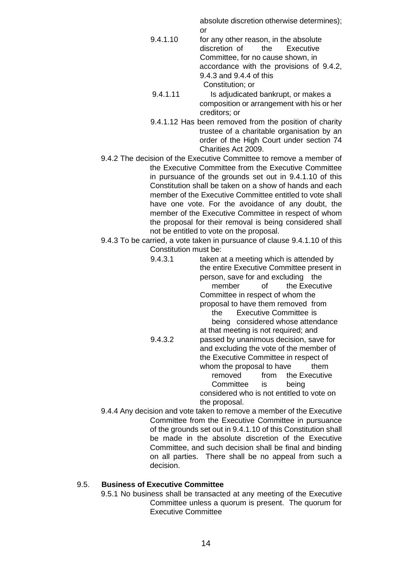absolute discretion otherwise determines); or

- 9.4.1.10 for any other reason, in the absolute discretion of the Executive Committee, for no cause shown, in accordance with the provisions of 9.4.2, 9.4.3 and 9.4.4 of this Constitution; or
- 9.4.1.11 Is adjudicated bankrupt, or makes a composition or arrangement with his or her creditors; or
- 9.4.1.12 Has been removed from the position of charity trustee of a charitable organisation by an order of the High Court under section 74 Charities Act 2009.
- 9.4.2 The decision of the Executive Committee to remove a member of the Executive Committee from the Executive Committee in pursuance of the grounds set out in 9.4.1.10 of this Constitution shall be taken on a show of hands and each member of the Executive Committee entitled to vote shall have one vote. For the avoidance of any doubt, the member of the Executive Committee in respect of whom the proposal for their removal is being considered shall not be entitled to vote on the proposal.
- 9.4.3 To be carried, a vote taken in pursuance of clause 9.4.1.10 of this Constitution must be:
	- 9.4.3.1 taken at a meeting which is attended by the entire Executive Committee present in person, save for and excluding the member of the Executive Committee in respect of whom the proposal to have them removed from the Executive Committee is being considered whose attendance at that meeting is not required; and 9.4.3.2 passed by unanimous decision, save for and excluding the vote of the member of the Executive Committee in respect of whom the proposal to have them removed from the Executive Committee is being considered who is not entitled to vote on the proposal.

9.4.4 Any decision and vote taken to remove a member of the Executive Committee from the Executive Committee in pursuance of the grounds set out in 9.4.1.10 of this Constitution shall be made in the absolute discretion of the Executive Committee, and such decision shall be final and binding on all parties. There shall be no appeal from such a decision.

# 9.5. **Business of Executive Committee**

9.5.1 No business shall be transacted at any meeting of the Executive Committee unless a quorum is present. The quorum for Executive Committee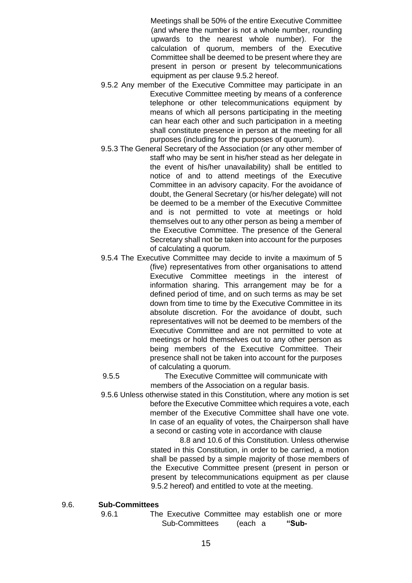Meetings shall be 50% of the entire Executive Committee (and where the number is not a whole number, rounding upwards to the nearest whole number). For the calculation of quorum, members of the Executive Committee shall be deemed to be present where they are present in person or present by telecommunications equipment as per clause 9.5.2 hereof.

- 9.5.2 Any member of the Executive Committee may participate in an Executive Committee meeting by means of a conference telephone or other telecommunications equipment by means of which all persons participating in the meeting can hear each other and such participation in a meeting shall constitute presence in person at the meeting for all purposes (including for the purposes of quorum).
- 9.5.3 The General Secretary of the Association (or any other member of staff who may be sent in his/her stead as her delegate in the event of his/her unavailability) shall be entitled to notice of and to attend meetings of the Executive Committee in an advisory capacity. For the avoidance of doubt, the General Secretary (or his/her delegate) will not be deemed to be a member of the Executive Committee and is not permitted to vote at meetings or hold themselves out to any other person as being a member of the Executive Committee. The presence of the General Secretary shall not be taken into account for the purposes of calculating a quorum.
- 9.5.4 The Executive Committee may decide to invite a maximum of 5 (five) representatives from other organisations to attend Executive Committee meetings in the interest of information sharing. This arrangement may be for a defined period of time, and on such terms as may be set down from time to time by the Executive Committee in its absolute discretion. For the avoidance of doubt, such representatives will not be deemed to be members of the Executive Committee and are not permitted to vote at meetings or hold themselves out to any other person as being members of the Executive Committee. Their presence shall not be taken into account for the purposes of calculating a quorum.

9.5.5 The Executive Committee will communicate with members of the Association on a regular basis.

9.5.6 Unless otherwise stated in this Constitution, where any motion is set before the Executive Committee which requires a vote, each member of the Executive Committee shall have one vote. In case of an equality of votes, the Chairperson shall have a second or casting vote in accordance with clause

8.8 and 10.6 of this Constitution. Unless otherwise stated in this Constitution, in order to be carried, a motion shall be passed by a simple majority of those members of the Executive Committee present (present in person or present by telecommunications equipment as per clause 9.5.2 hereof) and entitled to vote at the meeting.

#### 9.6. **Sub-Committees**

9.6.1 The Executive Committee may establish one or more Sub-Committees (each a **"Sub-**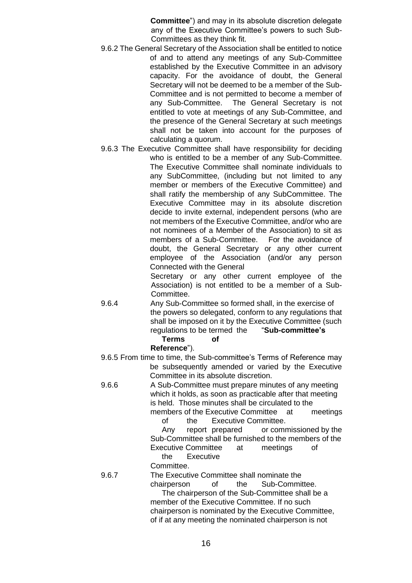**Committee**") and may in its absolute discretion delegate any of the Executive Committee's powers to such Sub-Committees as they think fit.

- 9.6.2 The General Secretary of the Association shall be entitled to notice of and to attend any meetings of any Sub-Committee established by the Executive Committee in an advisory capacity. For the avoidance of doubt, the General Secretary will not be deemed to be a member of the Sub-Committee and is not permitted to become a member of any Sub-Committee. The General Secretary is not entitled to vote at meetings of any Sub-Committee, and the presence of the General Secretary at such meetings shall not be taken into account for the purposes of calculating a quorum.
- 9.6.3 The Executive Committee shall have responsibility for deciding who is entitled to be a member of any Sub-Committee. The Executive Committee shall nominate individuals to any SubCommittee, (including but not limited to any member or members of the Executive Committee) and shall ratify the membership of any SubCommittee. The Executive Committee may in its absolute discretion decide to invite external, independent persons (who are not members of the Executive Committee, and/or who are not nominees of a Member of the Association) to sit as members of a Sub-Committee. For the avoidance of doubt, the General Secretary or any other current employee of the Association (and/or any person Connected with the General

Secretary or any other current employee of the Association) is not entitled to be a member of a Sub-Committee.

9.6.4 Any Sub-Committee so formed shall, in the exercise of the powers so delegated, conform to any regulations that shall be imposed on it by the Executive Committee (such regulations to be termed the "**Sub-committee's** 

#### **Terms of Reference**").

9.6.5 From time to time, the Sub-committee's Terms of Reference may be subsequently amended or varied by the Executive Committee in its absolute discretion.

9.6.6 A Sub-Committee must prepare minutes of any meeting which it holds, as soon as practicable after that meeting is held. Those minutes shall be circulated to the members of the Executive Committee at meetings

of the Executive Committee. Any report prepared or commissioned by the Sub-Committee shall be furnished to the members of the Executive Committee at meetings of

the Executive Committee.

9.6.7 The Executive Committee shall nominate the chairperson of the Sub-Committee. The chairperson of the Sub-Committee shall be a member of the Executive Committee. If no such chairperson is nominated by the Executive Committee, of if at any meeting the nominated chairperson is not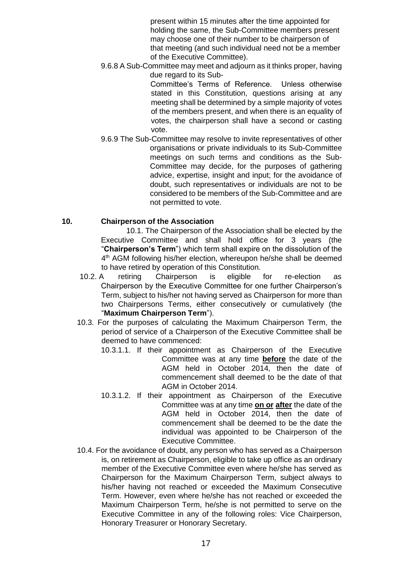present within 15 minutes after the time appointed for holding the same, the Sub-Committee members present may choose one of their number to be chairperson of that meeting (and such individual need not be a member of the Executive Committee).

9.6.8 A Sub-Committee may meet and adjourn as it thinks proper, having due regard to its Sub-

> Committee's Terms of Reference. Unless otherwise stated in this Constitution, questions arising at any meeting shall be determined by a simple majority of votes of the members present, and when there is an equality of votes, the chairperson shall have a second or casting vote.

9.6.9 The Sub-Committee may resolve to invite representatives of other organisations or private individuals to its Sub-Committee meetings on such terms and conditions as the Sub-Committee may decide, for the purposes of gathering advice, expertise, insight and input; for the avoidance of doubt, such representatives or individuals are not to be considered to be members of the Sub-Committee and are not permitted to vote.

# **10. Chairperson of the Association**

10.1. The Chairperson of the Association shall be elected by the Executive Committee and shall hold office for 3 years (the "**Chairperson's Term**") which term shall expire on the dissolution of the 4<sup>th</sup> AGM following his/her election, whereupon he/she shall be deemed to have retired by operation of this Constitution.

- 10.2. A retiring Chairperson is eligible for re-election as Chairperson by the Executive Committee for one further Chairperson's Term, subject to his/her not having served as Chairperson for more than two Chairpersons Terms, either consecutively or cumulatively (the "**Maximum Chairperson Term**").
- 10.3. For the purposes of calculating the Maximum Chairperson Term, the period of service of a Chairperson of the Executive Committee shall be deemed to have commenced:
	- 10.3.1.1. If their appointment as Chairperson of the Executive Committee was at any time **before** the date of the AGM held in October 2014, then the date of commencement shall deemed to be the date of that AGM in October 2014.
	- 10.3.1.2. If their appointment as Chairperson of the Executive Committee was at any time **on or after** the date of the AGM held in October 2014, then the date of commencement shall be deemed to be the date the individual was appointed to be Chairperson of the Executive Committee.
- 10.4. For the avoidance of doubt, any person who has served as a Chairperson is, on retirement as Chairperson, eligible to take up office as an ordinary member of the Executive Committee even where he/she has served as Chairperson for the Maximum Chairperson Term, subject always to his/her having not reached or exceeded the Maximum Consecutive Term. However, even where he/she has not reached or exceeded the Maximum Chairperson Term, he/she is not permitted to serve on the Executive Committee in any of the following roles: Vice Chairperson, Honorary Treasurer or Honorary Secretary.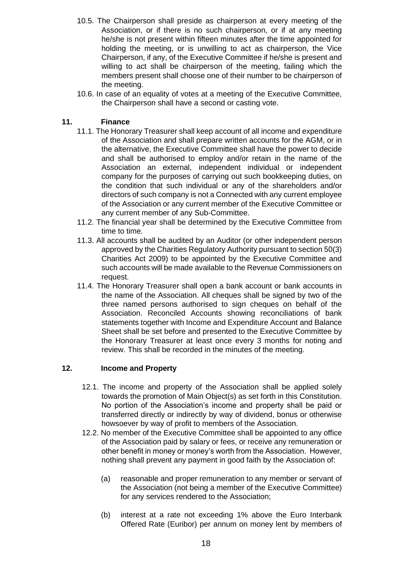- 10.5. The Chairperson shall preside as chairperson at every meeting of the Association, or if there is no such chairperson, or if at any meeting he/she is not present within fifteen minutes after the time appointed for holding the meeting, or is unwilling to act as chairperson, the Vice Chairperson, if any, of the Executive Committee if he/she is present and willing to act shall be chairperson of the meeting, failing which the members present shall choose one of their number to be chairperson of the meeting.
- 10.6. In case of an equality of votes at a meeting of the Executive Committee, the Chairperson shall have a second or casting vote.

# **11. Finance**

- 11.1. The Honorary Treasurer shall keep account of all income and expenditure of the Association and shall prepare written accounts for the AGM, or in the alternative, the Executive Committee shall have the power to decide and shall be authorised to employ and/or retain in the name of the Association an external, independent individual or independent company for the purposes of carrying out such bookkeeping duties, on the condition that such individual or any of the shareholders and/or directors of such company is not a Connected with any current employee of the Association or any current member of the Executive Committee or any current member of any Sub-Committee.
- 11.2. The financial year shall be determined by the Executive Committee from time to time.
- 11.3. All accounts shall be audited by an Auditor (or other independent person approved by the Charities Regulatory Authority pursuant to section 50(3) Charities Act 2009) to be appointed by the Executive Committee and such accounts will be made available to the Revenue Commissioners on request.
- 11.4. The Honorary Treasurer shall open a bank account or bank accounts in the name of the Association. All cheques shall be signed by two of the three named persons authorised to sign cheques on behalf of the Association. Reconciled Accounts showing reconciliations of bank statements together with Income and Expenditure Account and Balance Sheet shall be set before and presented to the Executive Committee by the Honorary Treasurer at least once every 3 months for noting and review. This shall be recorded in the minutes of the meeting.

# **12. Income and Property**

- 12.1. The income and property of the Association shall be applied solely towards the promotion of Main Object(s) as set forth in this Constitution. No portion of the Association's income and property shall be paid or transferred directly or indirectly by way of dividend, bonus or otherwise howsoever by way of profit to members of the Association.
- 12.2. No member of the Executive Committee shall be appointed to any office of the Association paid by salary or fees, or receive any remuneration or other benefit in money or money's worth from the Association. However, nothing shall prevent any payment in good faith by the Association of:
	- (a) reasonable and proper remuneration to any member or servant of the Association (not being a member of the Executive Committee) for any services rendered to the Association;
	- (b) interest at a rate not exceeding 1% above the Euro Interbank Offered Rate (Euribor) per annum on money lent by members of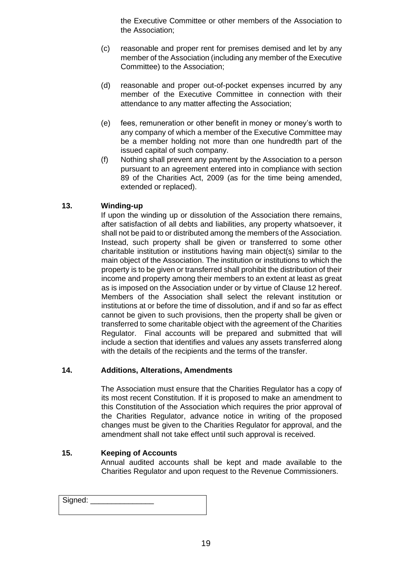the Executive Committee or other members of the Association to the Association;

- (c) reasonable and proper rent for premises demised and let by any member of the Association (including any member of the Executive Committee) to the Association;
- (d) reasonable and proper out-of-pocket expenses incurred by any member of the Executive Committee in connection with their attendance to any matter affecting the Association;
- (e) fees, remuneration or other benefit in money or money's worth to any company of which a member of the Executive Committee may be a member holding not more than one hundredth part of the issued capital of such company.
- (f) Nothing shall prevent any payment by the Association to a person pursuant to an agreement entered into in compliance with section 89 of the Charities Act, 2009 (as for the time being amended, extended or replaced).

# **13. Winding-up**

If upon the winding up or dissolution of the Association there remains, after satisfaction of all debts and liabilities, any property whatsoever, it shall not be paid to or distributed among the members of the Association. Instead, such property shall be given or transferred to some other charitable institution or institutions having main object(s) similar to the main object of the Association. The institution or institutions to which the property is to be given or transferred shall prohibit the distribution of their income and property among their members to an extent at least as great as is imposed on the Association under or by virtue of Clause 12 hereof. Members of the Association shall select the relevant institution or institutions at or before the time of dissolution, and if and so far as effect cannot be given to such provisions, then the property shall be given or transferred to some charitable object with the agreement of the Charities Regulator. Final accounts will be prepared and submitted that will include a section that identifies and values any assets transferred along with the details of the recipients and the terms of the transfer.

# **14. Additions, Alterations, Amendments**

The Association must ensure that the Charities Regulator has a copy of its most recent Constitution. If it is proposed to make an amendment to this Constitution of the Association which requires the prior approval of the Charities Regulator, advance notice in writing of the proposed changes must be given to the Charities Regulator for approval, and the amendment shall not take effect until such approval is received.

# **15. Keeping of Accounts**

Annual audited accounts shall be kept and made available to the Charities Regulator and upon request to the Revenue Commissioners.

| Signed: |  |
|---------|--|
|         |  |
|         |  |